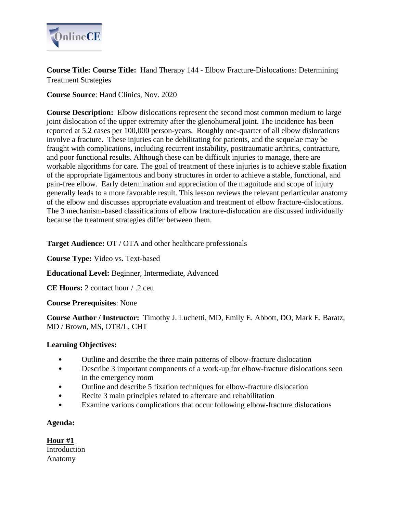

**Course Title: Course Title:** Hand Therapy 144 - Elbow Fracture-Dislocations: Determining Treatment Strategies

**Course Source**: Hand Clinics, Nov. 2020

**Course Description:** Elbow dislocations represent the second most common medium to large joint dislocation of the upper extremity after the glenohumeral joint. The incidence has been reported at 5.2 cases per 100,000 person-years. Roughly one-quarter of all elbow dislocations involve a fracture. These injuries can be debilitating for patients, and the sequelae may be fraught with complications, including recurrent instability, posttraumatic arthritis, contracture, and poor functional results. Although these can be difficult injuries to manage, there are workable algorithms for care. The goal of treatment of these injuries is to achieve stable fixation of the appropriate ligamentous and bony structures in order to achieve a stable, functional, and pain-free elbow. Early determination and appreciation of the magnitude and scope of injury generally leads to a more favorable result. This lesson reviews the relevant periarticular anatomy of the elbow and discusses appropriate evaluation and treatment of elbow fracture-dislocations. The 3 mechanism-based classifications of elbow fracture-dislocation are discussed individually because the treatment strategies differ between them.

**Target Audience:** OT / OTA and other healthcare professionals

**Course Type:** Video vs**.** Text-based

**Educational Level:** Beginner, Intermediate, Advanced

**CE Hours:** 2 contact hour / .2 ceu

**Course Prerequisites**: None

**Course Author / Instructor:** Timothy J. Luchetti, MD, Emily E. Abbott, DO, Mark E. Baratz, MD / Brown, MS, OTR/L, CHT

# **Learning Objectives:**

- Outline and describe the three main patterns of elbow-fracture dislocation
- Describe 3 important components of a work-up for elbow-fracture dislocations seen in the emergency room
- Outline and describe 5 fixation techniques for elbow-fracture dislocation
- Recite 3 main principles related to aftercare and rehabilitation
- Examine various complications that occur following elbow-fracture dislocations

# **Agenda:**

**Hour #1** Introduction Anatomy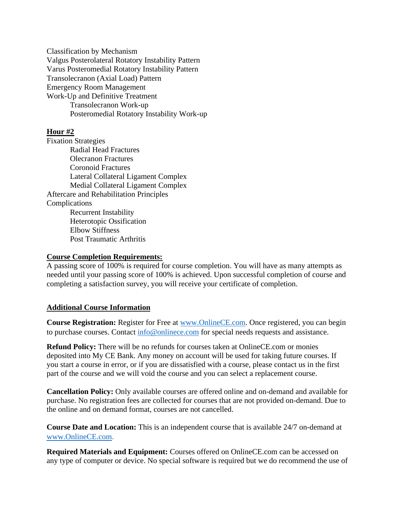Classification by Mechanism Valgus Posterolateral Rotatory Instability Pattern Varus Posteromedial Rotatory Instability Pattern Transolecranon (Axial Load) Pattern Emergency Room Management Work-Up and Definitive Treatment Transolecranon Work-up Posteromedial Rotatory Instability Work-up

# **Hour #2**

Fixation Strategies Radial Head Fractures Olecranon Fractures Coronoid Fractures Lateral Collateral Ligament Complex Medial Collateral Ligament Complex Aftercare and Rehabilitation Principles Complications Recurrent Instability Heterotopic Ossification Elbow Stiffness Post Traumatic Arthritis

#### **Course Completion Requirements:**

A passing score of 100% is required for course completion. You will have as many attempts as needed until your passing score of 100% is achieved. Upon successful completion of course and completing a satisfaction survey, you will receive your certificate of completion.

### **Additional Course Information**

**Course Registration:** Register for Free at [www.OnlineCE.com.](http://www.onlinece.com/) Once registered, you can begin to purchase courses. Contact [info@onlinece.com](mailto:info@onlinece.com) for special needs requests and assistance.

**Refund Policy:** There will be no refunds for courses taken at OnlineCE.com or monies deposited into My CE Bank. Any money on account will be used for taking future courses. If you start a course in error, or if you are dissatisfied with a course, please contact us in the first part of the course and we will void the course and you can select a replacement course.

**Cancellation Policy:** Only available courses are offered online and on-demand and available for purchase. No registration fees are collected for courses that are not provided on-demand. Due to the online and on demand format, courses are not cancelled.

**Course Date and Location:** This is an independent course that is available 24/7 on-demand at [www.OnlineCE.com.](http://www.onlinece.com/)

**Required Materials and Equipment:** Courses offered on OnlineCE.com can be accessed on any type of computer or device. No special software is required but we do recommend the use of